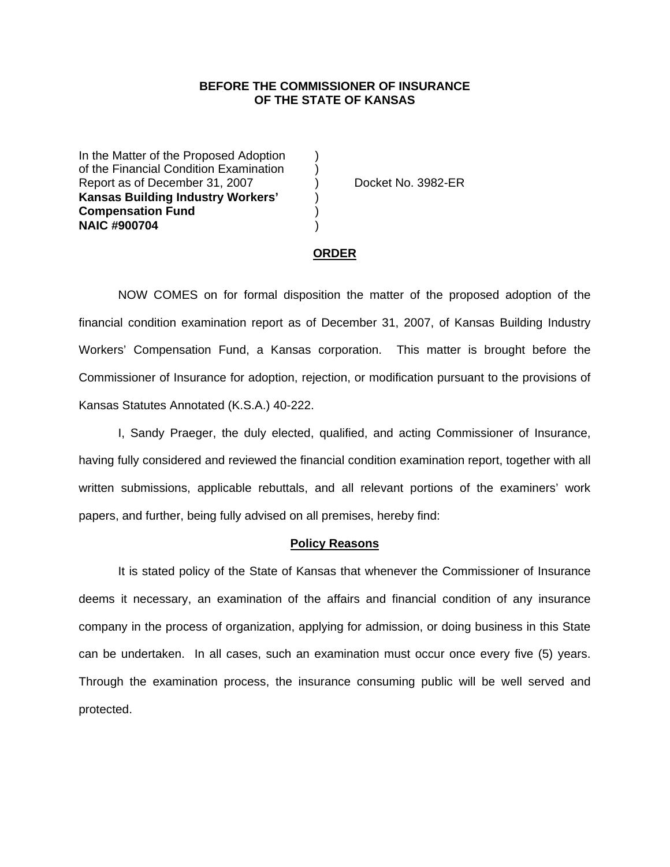### **BEFORE THE COMMISSIONER OF INSURANCE OF THE STATE OF KANSAS**

In the Matter of the Proposed Adoption of the Financial Condition Examination ) Report as of December 31, 2007 (and Separate No. 3982-ER **Kansas Building Industry Workers'** ) **Compensation Fund** ) **NAIC #900704** )

#### **ORDER**

 NOW COMES on for formal disposition the matter of the proposed adoption of the financial condition examination report as of December 31, 2007, of Kansas Building Industry Workers' Compensation Fund, a Kansas corporation. This matter is brought before the Commissioner of Insurance for adoption, rejection, or modification pursuant to the provisions of Kansas Statutes Annotated (K.S.A.) 40-222.

 I, Sandy Praeger, the duly elected, qualified, and acting Commissioner of Insurance, having fully considered and reviewed the financial condition examination report, together with all written submissions, applicable rebuttals, and all relevant portions of the examiners' work papers, and further, being fully advised on all premises, hereby find:

#### **Policy Reasons**

 It is stated policy of the State of Kansas that whenever the Commissioner of Insurance deems it necessary, an examination of the affairs and financial condition of any insurance company in the process of organization, applying for admission, or doing business in this State can be undertaken. In all cases, such an examination must occur once every five (5) years. Through the examination process, the insurance consuming public will be well served and protected.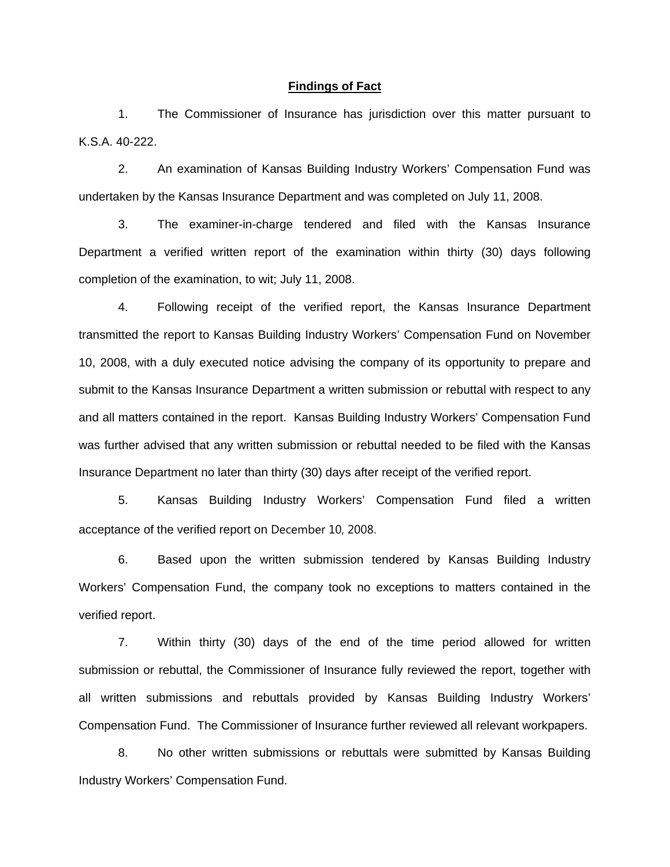#### **Findings of Fact**

 1. The Commissioner of Insurance has jurisdiction over this matter pursuant to K.S.A. 40-222.

 2. An examination of Kansas Building Industry Workers' Compensation Fund was undertaken by the Kansas Insurance Department and was completed on July 11, 2008.

 3. The examiner-in-charge tendered and filed with the Kansas Insurance Department a verified written report of the examination within thirty (30) days following completion of the examination, to wit; July 11, 2008.

 4. Following receipt of the verified report, the Kansas Insurance Department transmitted the report to Kansas Building Industry Workers' Compensation Fund on November 10, 2008, with a duly executed notice advising the company of its opportunity to prepare and submit to the Kansas Insurance Department a written submission or rebuttal with respect to any and all matters contained in the report. Kansas Building Industry Workers' Compensation Fund was further advised that any written submission or rebuttal needed to be filed with the Kansas Insurance Department no later than thirty (30) days after receipt of the verified report.

 5. Kansas Building Industry Workers' Compensation Fund filed a written acceptance of the verified report on December 10, 2008.

6. Based upon the written submission tendered by Kansas Building Industry Workers' Compensation Fund, the company took no exceptions to matters contained in the verified report.

 7. Within thirty (30) days of the end of the time period allowed for written submission or rebuttal, the Commissioner of Insurance fully reviewed the report, together with all written submissions and rebuttals provided by Kansas Building Industry Workers' Compensation Fund. The Commissioner of Insurance further reviewed all relevant workpapers.

 8. No other written submissions or rebuttals were submitted by Kansas Building Industry Workers' Compensation Fund.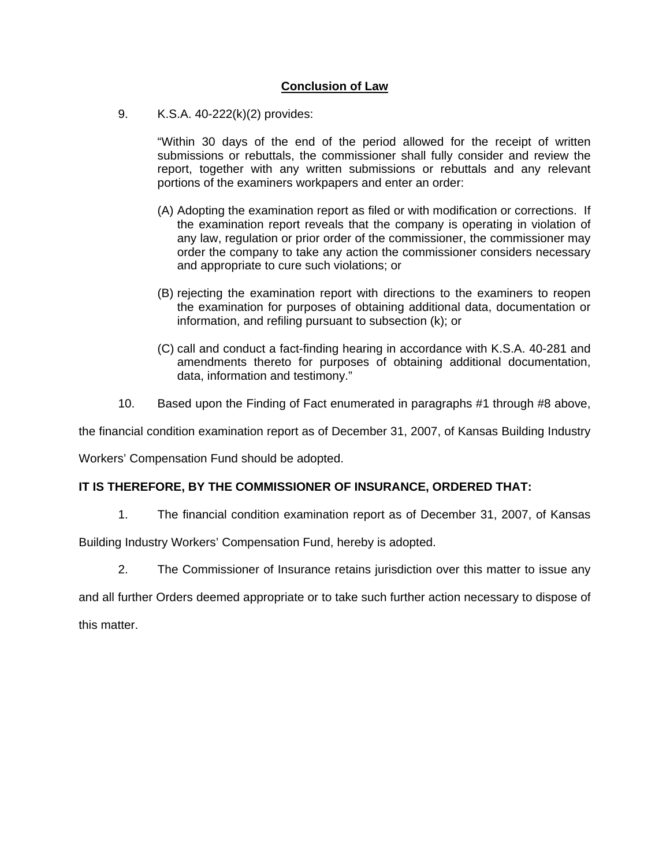# **Conclusion of Law**

9. K.S.A. 40-222(k)(2) provides:

"Within 30 days of the end of the period allowed for the receipt of written submissions or rebuttals, the commissioner shall fully consider and review the report, together with any written submissions or rebuttals and any relevant portions of the examiners workpapers and enter an order:

- (A) Adopting the examination report as filed or with modification or corrections. If the examination report reveals that the company is operating in violation of any law, regulation or prior order of the commissioner, the commissioner may order the company to take any action the commissioner considers necessary and appropriate to cure such violations; or
- (B) rejecting the examination report with directions to the examiners to reopen the examination for purposes of obtaining additional data, documentation or information, and refiling pursuant to subsection (k); or
- (C) call and conduct a fact-finding hearing in accordance with K.S.A. 40-281 and amendments thereto for purposes of obtaining additional documentation, data, information and testimony."
- 10. Based upon the Finding of Fact enumerated in paragraphs #1 through #8 above,

the financial condition examination report as of December 31, 2007, of Kansas Building Industry

Workers' Compensation Fund should be adopted.

## **IT IS THEREFORE, BY THE COMMISSIONER OF INSURANCE, ORDERED THAT:**

1. The financial condition examination report as of December 31, 2007, of Kansas

Building Industry Workers' Compensation Fund, hereby is adopted.

2. The Commissioner of Insurance retains jurisdiction over this matter to issue any

and all further Orders deemed appropriate or to take such further action necessary to dispose of this matter.